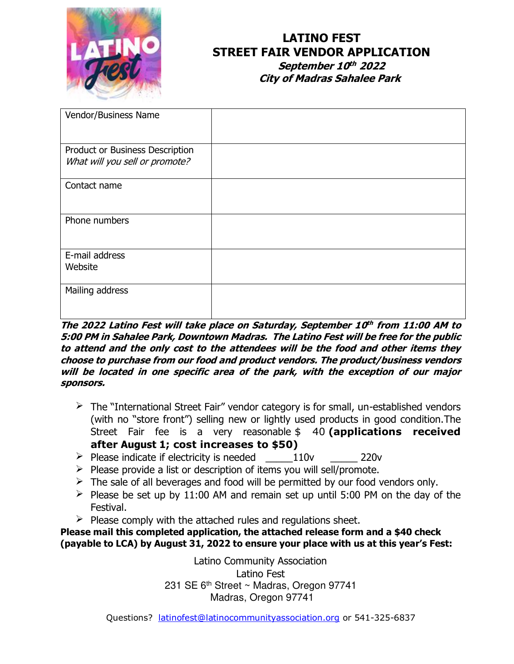

# **LATINO FEST STREET FAIR VENDOR APPLICATION**

 **September 10 th 2022 City of Madras Sahalee Park**

| Vendor/Business Name            |  |
|---------------------------------|--|
|                                 |  |
| Product or Business Description |  |
| What will you sell or promote?  |  |
| Contact name                    |  |
|                                 |  |
| Phone numbers                   |  |
|                                 |  |
| E-mail address                  |  |
| Website                         |  |
| Mailing address                 |  |
|                                 |  |
|                                 |  |

#### **The 2022 Latino Fest will take place on Saturday, September 10 th from 11:00 AM to 5:00 PM in Sahalee Park, Downtown Madras. The Latino Fest will be free for the public to attend and the only cost to the attendees will be the food and other items they choose to purchase from our food and product vendors. The product/business vendors will be located in one specific area of the park, with the exception of our major sponsors.**

- $\triangleright$  The "International Street Fair" vendor category is for small, un-established vendors (with no "store front") selling new or lightly used products in good condition.The Street Fair fee is a very reasonable \$ 40 **(applications received after August 1; cost increases to \$50)**
- $\triangleright$  Please indicate if electricity is needed  $110v$  220v
- $\triangleright$  Please provide a list or description of items you will sell/promote.
- $\triangleright$  The sale of all beverages and food will be permitted by our food vendors only.
- $\triangleright$  Please be set up by 11:00 AM and remain set up until 5:00 PM on the day of the Festival.
- $\triangleright$  Please comply with the attached rules and regulations sheet.

**Please mail this completed application, the attached release form and a \$40 check (payable to LCA) by August 31, 2022 to ensure your place with us at this year's Fest:**

> Latino Community Association Latino Fest 231 SE 6<sup>th</sup> Street ~ Madras, Oregon 97741 Madras, Oregon 97741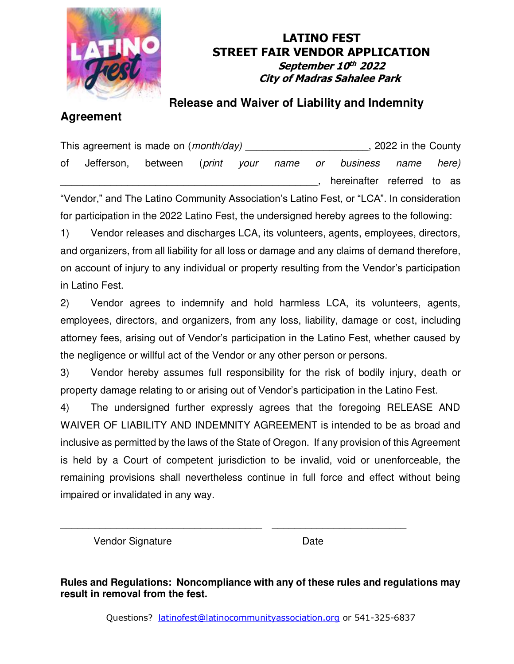

## **LATINO FEST STREET FAIR VENDOR APPLICATION September 10 th 2022 City of Madras Sahalee Park**

# **Agreement**

# **Release and Waiver of Liability and Indemnity**

This agreement is made on (*month/day*) **the county** and the County of Jefferson, between (*print your name or business name here)*  hereinafter referred to as "Vendor," and The Latino Community Association's Latino Fest, or "LCA". In consideration

for participation in the 2022 Latino Fest, the undersigned hereby agrees to the following:

1) Vendor releases and discharges LCA, its volunteers, agents, employees, directors, and organizers, from all liability for all loss or damage and any claims of demand therefore, on account of injury to any individual or property resulting from the Vendor's participation in Latino Fest.

2) Vendor agrees to indemnify and hold harmless LCA, its volunteers, agents, employees, directors, and organizers, from any loss, liability, damage or cost, including attorney fees, arising out of Vendor's participation in the Latino Fest, whether caused by the negligence or willful act of the Vendor or any other person or persons.

3) Vendor hereby assumes full responsibility for the risk of bodily injury, death or property damage relating to or arising out of Vendor's participation in the Latino Fest.

4) The undersigned further expressly agrees that the foregoing RELEASE AND WAIVER OF LIABILITY AND INDEMNITY AGREEMENT is intended to be as broad and inclusive as permitted by the laws of the State of Oregon. If any provision of this Agreement is held by a Court of competent jurisdiction to be invalid, void or unenforceable, the remaining provisions shall nevertheless continue in full force and effect without being impaired or invalidated in any way.

Vendor Signature **Date** 

**Rules and Regulations: Noncompliance with any of these rules and regulations may result in removal from the fest.** 

\_\_\_\_\_\_\_\_\_\_\_\_\_\_\_\_\_\_\_\_\_\_\_\_\_\_\_\_\_\_\_\_\_\_\_\_ \_\_\_\_\_\_\_\_\_\_\_\_\_\_\_\_\_\_\_\_\_\_\_\_

Questions? [latinofest@latinocommunityassociation.org](mailto:latinofest@latinocommunityassociation.org) or 541-325-6837